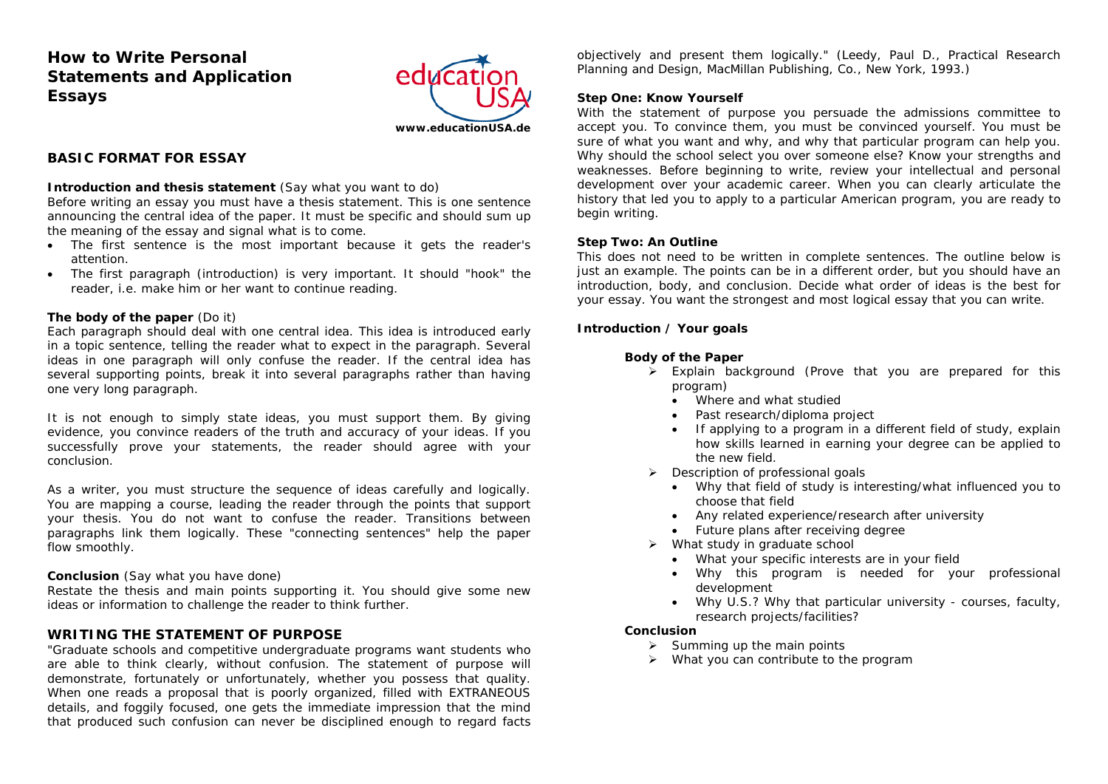# **How to Write Personal Statements and Application Essays**



**BASIC FORMAT FOR ESSAY** 

#### **Introduction and thesis statement** (Say what you want to do)

Before writing an essay you must have a thesis statement. This is one sentence announcing the central idea of the paper. It must be specific and should sum up the meaning of the essay and signal what is to come.

- The first sentence is the most important because it gets the reader's attention.
- The first paragraph (introduction) is very important. It should "hook" the reader, i.e. make him or her want to continue reading.

### **The body of the paper** (Do it)

Each paragraph should deal with one central idea. This idea is introduced early in a topic sentence, telling the reader what to expect in the paragraph. Several ideas in one paragraph will only confuse the reader. If the central idea has several supporting points, break it into several paragraphs rather than having one very long paragraph.

It is not enough to simply state ideas, you must support them. By giving evidence, you convince readers of the truth and accuracy of your ideas. If you successfully prove your statements, the reader should agree with your conclusion.

As a writer, you must structure the sequence of ideas carefully and logically. You are mapping a course, leading the reader through the points that support your thesis. You do not want to confuse the reader. *Transitions between paragraphs link them logically. These "connecting sentences" help the paper flow smoothly.*

## **Conclusion** (Say what you have done)

Restate the thesis and main points supporting it. You should give some new ideas or information to challenge the reader to think further.

# **WRITING THE STATEMENT OF PURPOSE**

"Graduate schools and competitive undergraduate programs want students who are able to think clearly, without confusion. The statement of purpose will demonstrate, fortunately or unfortunately, whether you possess that quality. When one reads a proposal that is poorly organized, filled with EXTRANEOUS details, and foggily focused, one gets the immediate impression that the mind that produced such confusion can never be disciplined enough to regard facts objectively and present them logically." (Leedy, Paul D., *Practical Research Planning and Design*, MacMillan Publishing, Co., New York, 1993.)

## **Step One: Know Yourself**

With the statement of purpose you persuade the admissions committee to accept you. To convince them, you must be convinced yourself. You must be sure of what you want and why, and why that particular program can help you. Why should the school select you over someone else? Know your strengths and weaknesses. Before beginning to write, review your intellectual and personal development over your academic career. When you can clearly articulate the history that led you to apply to a particular American program, you are ready to begin writing.

## **Step Two: An Outline**

This does not need to be written in complete sentences. The outline below is just an example. The points can be in a different order, but you should have an introduction, body, and conclusion. Decide what order of ideas is the best for your essay. You want the strongest and most logical essay that you can write.

### **Introduction / Your goals**

## **Body of the Paper**

- ¾ Explain background (Prove that you are prepared for this program)
	- Where and what studied
	- •Past research/diploma project
	- If applying to a program in a different field of study, explain how skills learned in earning your degree can be applied to the new field.
- ¾ Description of professional goals
	- Why that field of study is interesting/what influenced you to choose that field
	- Any related experience/research after university
	- •Future plans after receiving degree
- ¾ What study in graduate school
	- What your specific interests are in your field
	- Why this program is needed for your professional development
	- Why U.S.? Why that particular university courses, faculty, research projects/facilities?

## **Conclusion**

- $\triangleright$  Summing up the main points
- $\triangleright$  What you can contribute to the program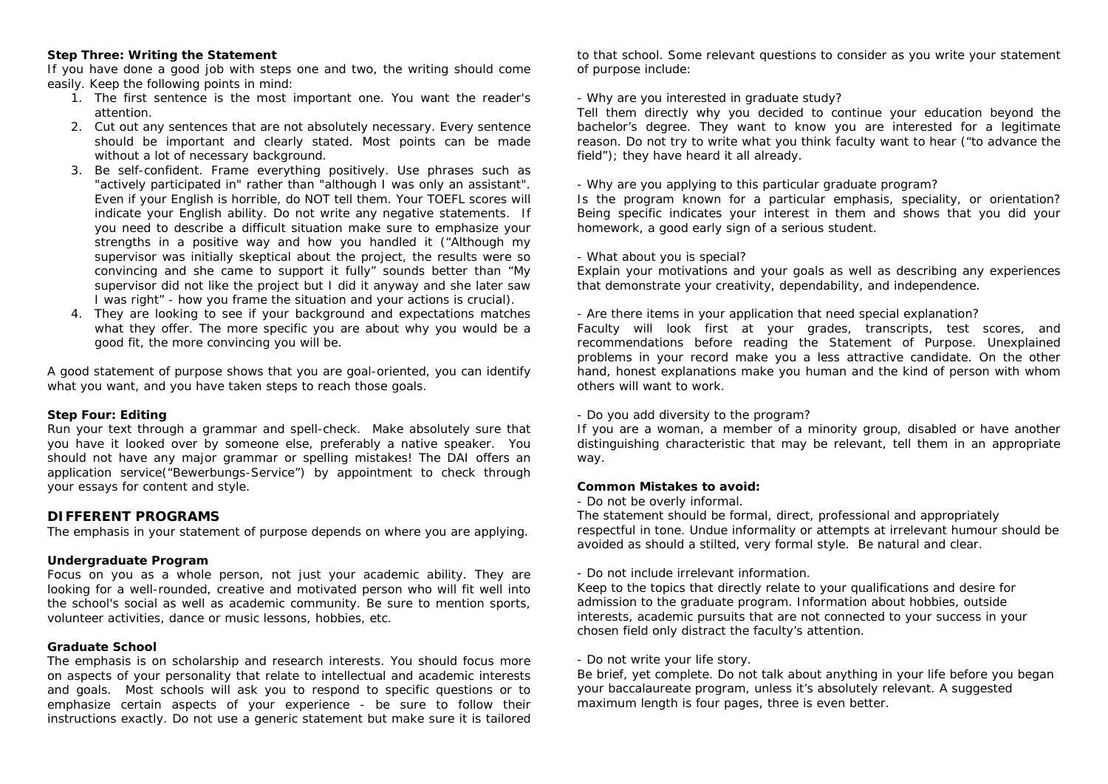## **Step Three: Writing the Statement**

If you have done a good job with steps one and two, the writing should come easily. Keep the following points in mind:

- 1. The first sentence is the most important one. You want the reader's attention.
- 2. Cut out any sentences that are not absolutely necessary. Every sentence should be important and clearly stated. Most points can be made without a lot of necessary background.
- *3.* Be self-confident. Frame everything positively. Use phrases such as "actively participated in" rather than "although I was only an assistant". Even if your English is horrible, do NOT tell them. Your TOEFL scores will indicate your English ability*. Do not write any negative statements.* If you need to describe a difficult situation make sure to emphasize your strengths in a positive way and how you handled it ("Although my supervisor was initially skeptical about the project, the results were so convincing and she came to support it fully" sounds better than "My supervisor did not like the project but I did it anyway and she later saw I was right" - how you frame the situation and your actions is crucial).
- 4. They are looking to see if your background and expectations matches what they offer. The more specific you are about why you would be a good fit, the more convincing you will be.

A good statement of purpose shows that you are goal-oriented, you can identify what you want, and you have taken steps to reach those goals.

#### **Step Four: Editing**

Run your text through a grammar and spell-check. Make absolutely sure that you have it looked over by someone else, preferably a native speaker. You should not have any major grammar or spelling mistakes! The DAI offers an application service("Bewerbungs-Service") by appointment to check through your essays for content and style.

# **DIFFERENT PROGRAMS**

The emphasis in your statement of purpose depends on where you are applying.

## **Undergraduate Program**

Focus on you as a whole person, not just your academic ability. They are looking for a well-rounded, creative and motivated person who will fit well into the school's social as well as academic community. Be sure to mention sports, volunteer activities, dance or music lessons, hobbies, etc.

## **Graduate School**

The emphasis is on scholarship and research interests. You should focus more on aspects of your personality that relate to intellectual and academic interests and goals. Most schools will ask you to respond to specific questions or to emphasize certain aspects of your experience - be sure to follow their instructions exactly. Do not use a generic statement but make sure it is tailored

to that school. Some relevant questions to consider as you write your statement of purpose include:

## *- Why are you interested in graduate study?*

Tell them directly why you decided to continue your education beyond the bachelor's degree. They want to know you are interested for a legitimate reason. Do not try to write what you think faculty want to hear ("to advance the field"); they have heard it all already.

### *- Why are you applying to this particular graduate program?*

Is the program known for a particular emphasis, speciality, or orientation? Being specific indicates your interest in them and shows that you did your homework, a good early sign of a serious student.

#### *- What about you is special?*

Explain your motivations and your goals as well as describing any experiences that demonstrate your creativity, dependability, and independence.

#### *- Are there items in your application that need special explanation?*

Faculty will look first at your grades, transcripts, test scores, and recommendations before reading the Statement of Purpose. Unexplained problems in your record make you a less attractive candidate. On the other hand, honest explanations make you human and the kind of person with whom others will want to work.

#### *- Do you add diversity to the program?*

If you are a woman, a member of a minority group, disabled or have another distinguishing characteristic that may be relevant, tell them in an appropriate way.

#### **Common Mistakes to avoid:**

#### *- Do not be overly informal.*

The statement should be formal, direct, professional and appropriately respectful in tone. Undue informality or attempts at irrelevant humour should be avoided as should a stilted, very formal style. Be natural and clear.

#### *- Do not include irrelevant information.*

Keep to the topics that directly relate to your qualifications and desire for admission to the graduate program. Information about hobbies, outside interests, academic pursuits that are not connected to your success in your chosen field only distract the faculty's attention.

## *- Do not write your life story.*

Be brief, yet complete. Do not talk about anything in your life before you began your baccalaureate program, unless it's absolutely relevant. A suggested maximum length is four pages, three is even better.